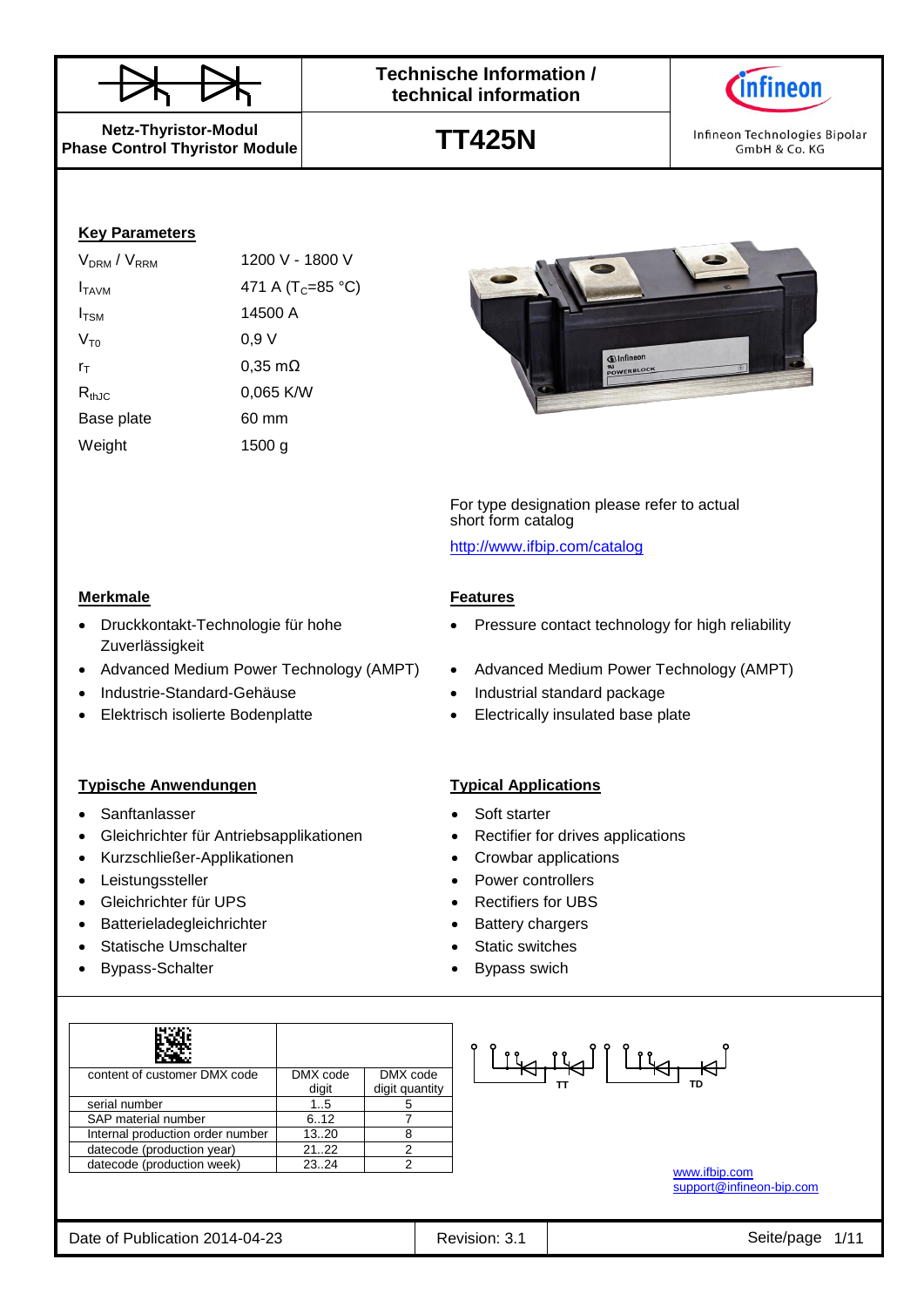

**TT425N**



Infineon Technologies Bipolar GmbH & Co. KG

**Netz-Thyristor-Modul Phase Control Thyristor Module**

### **Key Parameters**

| V <sub>DRM</sub> / V <sub>RRM</sub> | 1200 V - 1800 V               |
|-------------------------------------|-------------------------------|
| I <sub>TAVM</sub>                   | 471 A (T <sub>C</sub> =85 °C) |
| $I_{\text{TSM}}$                    | 14500 A                       |
| $V_{\tau_0}$                        | 0,9 V                         |
| $r_{\text{T}}$                      | $0,35 \text{ m}\Omega$        |
| $R_{thJC}$                          | 0,065 K/W                     |
| Base plate                          | 60 mm                         |
| Weight                              | 1500 a                        |



For type designation please refer to actual short form catalog <http://www.ifbip.com/catalog>

- Pressure contact technology for high reliability
- Advanced Medium Power Technology (AMPT) . Advanced Medium Power Technology (AMPT)
- Industrie-Standard-Gehäuse **Industrial standard package**
- Elektrisch isolierte Bodenplatte **Electrically insulated base plate**

- 
- 
- 
- Leistungssteller **Controllers Power controllers** 
	-
	-
	-
	-

| content of customer DMX code     | DMX code | DMX code       |
|----------------------------------|----------|----------------|
|                                  | digit    | digit quantity |
| serial number                    | 15       |                |
| SAP material number              | 6.12     |                |
| Internal production order number | 1320     |                |
| datecode (production year)       | 2122     | っ              |
| datecode (production week)       | 23.24    | 2              |

<u>| TRILA | TRILA</u>

[www.ifbip.com](http://www.ifbip.com/) [support@infineon-bip.com](mailto:support@infineon-bip.com)

#### **Merkmale Features**

- Druckkontakt-Technologie für hohe Zuverlässigkeit
- 
- 
- 

### **Typische Anwendungen Typical Applications**

- Sanftanlasser Soft starter
- Gleichrichter für Antriebsapplikationen **•** Rectifier for drives applications
- Kurzschließer-Applikationen Crowbar applications
- 
- Gleichrichter für UPS Rectifiers for UBS
- Batterieladegleichrichter **abelief and the Statery chargers**
- Statische Umschalter **Static Static Static switches**
- Bypass-Schalter **Bypass** swich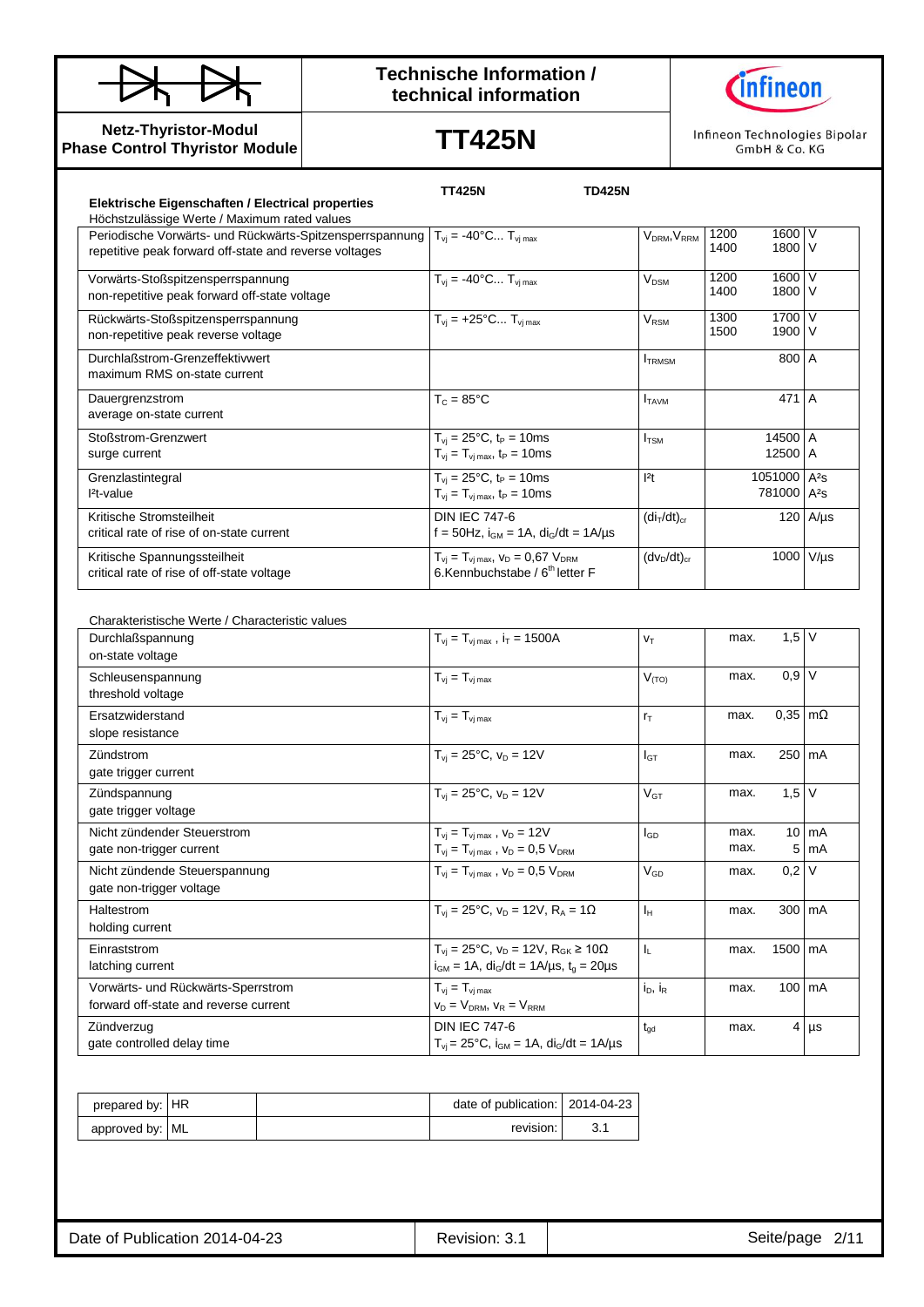

## **Technische Information / technical information**



**Netz-Thyristor-Modul Phase Control Thyristor Module**

# **TT425N**

Infineon Technologies Bipolar GmbH & Co. KG

|                                                          | <b>TT425N</b>                                                       | <b>TD425N</b>                       |                         |                  |
|----------------------------------------------------------|---------------------------------------------------------------------|-------------------------------------|-------------------------|------------------|
| Elektrische Eigenschaften / Electrical properties        |                                                                     |                                     |                         |                  |
| Höchstzulässige Werte / Maximum rated values             |                                                                     |                                     |                         |                  |
| Periodische Vorwärts- und Rückwärts-Spitzensperrspannung | $T_{vi} = -40$ °C $T_{vj \, max}$                                   | V <sub>DRM</sub> , V <sub>RRM</sub> | 1600 V<br>1200          |                  |
| repetitive peak forward off-state and reverse voltages   |                                                                     |                                     | 1800 V<br>1400          |                  |
| Vorwärts-Stoßspitzensperrspannung                        | $T_{vi} = -40^{\circ}C T_{vj \, max}$                               | <b>V<sub>DSM</sub></b>              | 1600<br>1200            | $\vee$           |
| non-repetitive peak forward off-state voltage            |                                                                     |                                     | 1400<br>1800            | v                |
| Rückwärts-Stoßspitzensperrspannung                       | $T_{vi}$ = +25°C $T_{vi}$ <sub>max</sub>                            | $V_{\text{RSM}}$                    | 1700<br>1300            | $\vee$           |
| non-repetitive peak reverse voltage                      |                                                                     |                                     | 1500<br>1900 V          |                  |
| Durchlaßstrom-Grenzeffektivwert                          |                                                                     | <b>ITRMSM</b>                       | 800 A                   |                  |
| maximum RMS on-state current                             |                                                                     |                                     |                         |                  |
| Dauergrenzstrom                                          | $T_c = 85^{\circ}$ C                                                | <b>I</b> TAVM                       | 471                     | $\overline{A}$   |
| average on-state current                                 |                                                                     |                                     |                         |                  |
| Stoßstrom-Grenzwert                                      | $T_{vi} = 25^{\circ}C$ , t <sub>P</sub> = 10ms                      | I <sub>TSM</sub>                    | 14500                   | $\overline{A}$   |
| surge current                                            | $T_{vi} = T_{vi \, max}$ , $t_P = 10 \, \text{ms}$                  |                                     | 12500 A                 |                  |
| Grenzlastintegral                                        | $T_{\rm vj} = 25^{\circ}C, t_{\rm P} = 10 \text{ms}$                | 2t                                  | 1051000                 | $A^2S$           |
| $l2t-value$                                              | $T_{vi} = T_{vi \, max}$ , t <sub>P</sub> = 10ms                    |                                     | 781000 A <sup>2</sup> s |                  |
| Kritische Stromsteilheit                                 | <b>DIN IEC 747-6</b>                                                | (di <sub>T</sub> /dt) <sub>cr</sub> |                         | $120$ A/ $\mu$ s |
| critical rate of rise of on-state current                | f = 50Hz, $i_{GM}$ = 1A, $di_G/dt$ = 1A/ $\mu$ s                    |                                     |                         |                  |
| Kritische Spannungssteilheit                             | $T_{\rm vj} = T_{\rm vj \, max}$ , $V_{\rm D} = 0.67$ $V_{\rm DRM}$ | $(dv_D/dt)_{cr}$                    | 1000                    | $V/\mu s$        |
| critical rate of rise of off-state voltage               | 6.Kennbuchstabe / 6 <sup>th</sup> letter F                          |                                     |                         |                  |

Charakteristische Werte / Characteristic values

| Durchlaßspannung<br>on-state voltage                                        | $T_{vi} = T_{vi \, max}$ , $i_T = 1500A$                                                                                          | V <sub>T</sub>  | max.         | $1,5$ V                |                                   |
|-----------------------------------------------------------------------------|-----------------------------------------------------------------------------------------------------------------------------------|-----------------|--------------|------------------------|-----------------------------------|
| Schleusenspannung<br>threshold voltage                                      | $T_{vi} = T_{vj \text{ max}}$                                                                                                     | $V_{(TO)}$      | max.         | $0,9$ V                |                                   |
| Ersatzwiderstand<br>slope resistance                                        | $T_{vi} = T_{vi \, max}$                                                                                                          | $r_{\rm T}$     | max.         | $0,35 \text{ m}\Omega$ |                                   |
| Zündstrom<br>gate trigger current                                           | $T_{vi} = 25^{\circ}C$ , $v_D = 12V$                                                                                              | l <sub>GТ</sub> | max.         | 250 mA                 |                                   |
| Zündspannung<br>gate trigger voltage                                        | $T_{vi} = 25^{\circ}C$ , $V_D = 12V$                                                                                              | $V_{GT}$        | max.         | $1,5$ V                |                                   |
| Nicht zündender Steuerstrom<br>gate non-trigger current                     | $T_{\rm vj} = T_{\rm vj \, max}$ , $V_{\rm D} = 12V$<br>$T_{vj} = T_{vj \, max}$ , $V_D = 0.5 V_{DRM}$                            | lgp             | max.<br>max. |                        | $10 \text{ mA}$<br>$5 \text{ mA}$ |
| Nicht zündende Steuerspannung<br>gate non-trigger voltage                   | $T_{vi} = T_{vi \, max}$ , $V_D = 0.5 V_{DRM}$                                                                                    | $V_{GD}$        | max.         | $0,2$ V                |                                   |
| Haltestrom<br>holding current                                               | $T_{vi} = 25^{\circ}C$ , $V_D = 12V$ , $R_A = 1\Omega$                                                                            | Iн              | max.         | 300 mA                 |                                   |
| Einraststrom<br>latching current                                            | $T_{vi} = 25^{\circ}C$ , $V_D = 12V$ , $R_{GK} \ge 10\Omega$<br>$i_{GM}$ = 1A, di <sub>G</sub> /dt = 1A/µs, t <sub>q</sub> = 20µs | IL.             | max.         | 1500 mA                |                                   |
| Vorwärts- und Rückwärts-Sperrstrom<br>forward off-state and reverse current | $T_{vi} = T_{vi \, max}$<br>$V_D = V_{DRM}$ , $V_R = V_{RRM}$                                                                     | $i_D$ , $i_R$   | max.         | $100 \text{ mA}$       |                                   |
| Zündverzug<br>gate controlled delay time                                    | <b>DIN IEC 747-6</b><br>$T_{vi}$ = 25°C, $i_{GM}$ = 1A, $di_G/dt$ = 1A/ $\mu$ s                                                   | $t_{\text{qd}}$ | max.         |                        | $4 \mu s$                         |

| prepared by: HR |  | date of publication: 2014-04-23 |  |
|-----------------|--|---------------------------------|--|
| approved by: ML |  | revision:                       |  |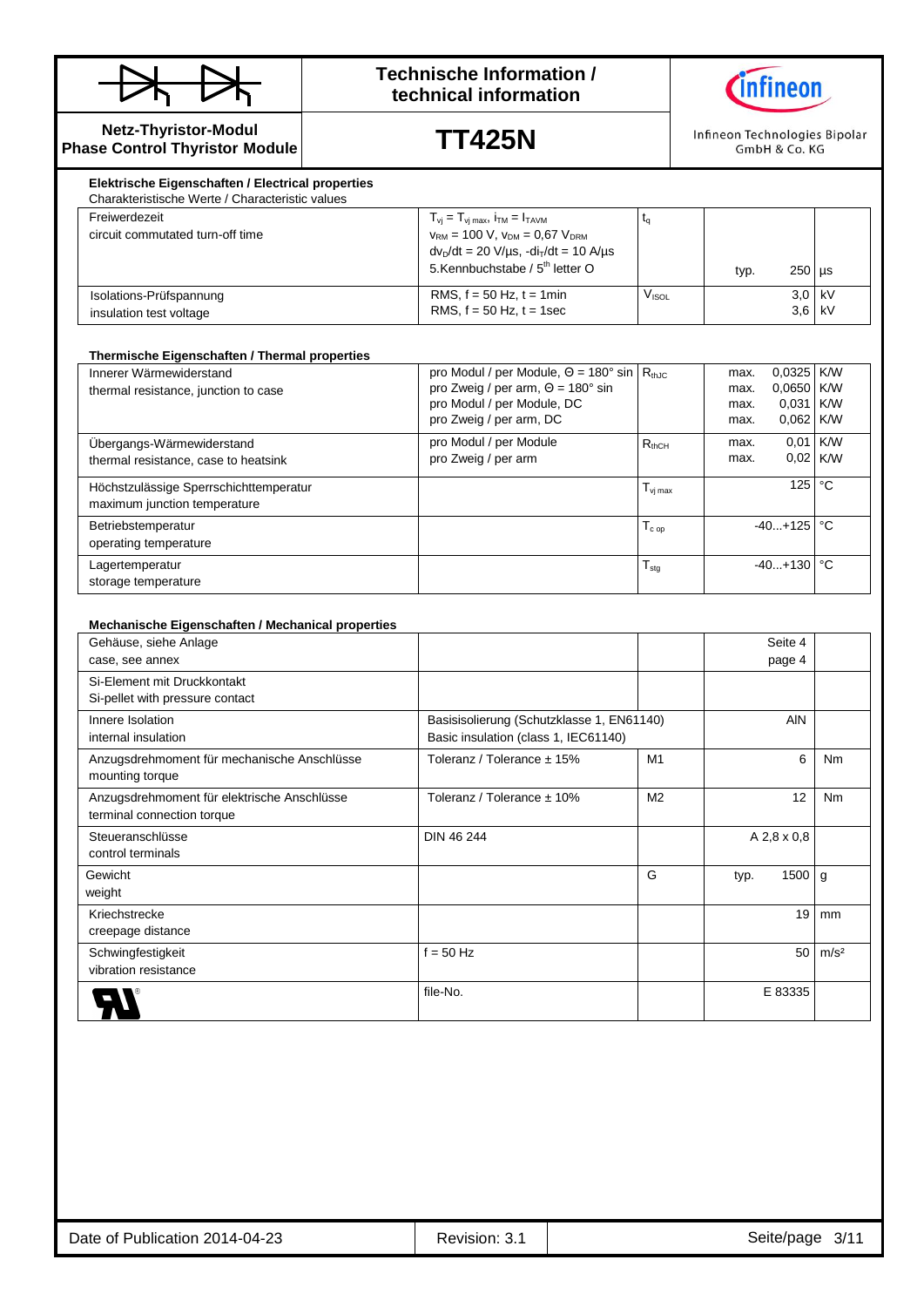

## **Technische Information / technical information**



**Netz-Thyristor-Modul Phase Control Thyristor Module**

**TT425N**

Infineon Technologies Bipolar GmbH & Co. KG

| Freiwerdezeit<br>circuit commutated turn-off time  | $T_{\rm vj} = T_{\rm vj\,max}$ , $i_{\rm TM} = I_{\rm TAVM}$<br>$V_{\text{RM}}$ = 100 V, $V_{\text{DM}}$ = 0.67 $V_{\text{DRM}}$<br>$dv_D/dt = 20 V/\mu s$ , $-di_T/dt = 10 A/\mu s$<br>5.Kennbuchstabe / 5 <sup>th</sup> letter O |       | typ. | $250$ µs             |  |
|----------------------------------------------------|------------------------------------------------------------------------------------------------------------------------------------------------------------------------------------------------------------------------------------|-------|------|----------------------|--|
| Isolations-Prüfspannung<br>insulation test voltage | RMS, $f = 50$ Hz, $t = 1$ min<br>RMS, $f = 50$ Hz, $t = 1$ sec                                                                                                                                                                     | Visol |      | $3.0$ kV<br>$3.6$ kV |  |

#### **Thermische Eigenschaften / Thermal properties**

| Innerer Wärmewiderstand                | pro Modul / per Module, $\Theta = 180^\circ \sin   R_{thJC}$ |                     | max. | $0.0325$ K/W          |            |
|----------------------------------------|--------------------------------------------------------------|---------------------|------|-----------------------|------------|
| thermal resistance, junction to case   | pro Zweig / per arm, $\Theta = 180^\circ$ sin                |                     | max. | $0.0650$ K/W          |            |
|                                        | pro Modul / per Module, DC                                   |                     | max. | 0,031                 | <b>KW</b>  |
|                                        | pro Zweig / per arm, DC                                      |                     | max. | $0.062$ K/W           |            |
| Übergangs-Wärmewiderstand              | pro Modul / per Module                                       | $R_{thCH}$          | max. | 0,01                  | <b>K/W</b> |
| thermal resistance, case to heatsink   | pro Zweig / per arm                                          |                     | max. | $0.02$ K/W            |            |
| Höchstzulässige Sperrschichttemperatur |                                                              | $T_{\text{vj max}}$ |      | 125 <sub>1</sub>      | °€         |
| maximum junction temperature           |                                                              |                     |      |                       |            |
| Betriebstemperatur                     |                                                              | $T_{c}$ op          |      | $-40+125$ $\degree$ C |            |
| operating temperature                  |                                                              |                     |      |                       |            |
| Lagertemperatur                        |                                                              | $T_{\text{stg}}$    |      | $-40+130$ $\degree$ C |            |
| storage temperature                    |                                                              |                     |      |                       |            |

| Mechanische Eigenschaften / Mechanical properties |                                           |                |             |                        |
|---------------------------------------------------|-------------------------------------------|----------------|-------------|------------------------|
| Gehäuse, siehe Anlage                             |                                           |                | Seite 4     |                        |
| case, see annex                                   |                                           |                | page 4      |                        |
| Si-Element mit Druckkontakt                       |                                           |                |             |                        |
| Si-pellet with pressure contact                   |                                           |                |             |                        |
| Innere Isolation                                  | Basisisolierung (Schutzklasse 1, EN61140) |                |             | <b>AIN</b>             |
| internal insulation                               | Basic insulation (class 1, IEC61140)      |                |             |                        |
| Anzugsdrehmoment für mechanische Anschlüsse       | Toleranz / Tolerance ± 15%                | M1             |             | 6<br><b>Nm</b>         |
| mounting torque                                   |                                           |                |             |                        |
| Anzugsdrehmoment für elektrische Anschlüsse       | Toleranz / Tolerance $\pm$ 10%            | M <sub>2</sub> |             | 12<br>Nm               |
| terminal connection torque                        |                                           |                |             |                        |
| Steueranschlüsse                                  | DIN 46 244                                |                | A 2,8 x 0,8 |                        |
| control terminals                                 |                                           |                |             |                        |
| Gewicht                                           |                                           | G              | typ.        | 1500<br>g              |
| weight                                            |                                           |                |             |                        |
| Kriechstrecke                                     |                                           |                |             | 19<br>mm               |
| creepage distance                                 |                                           |                |             |                        |
| Schwingfestigkeit                                 | $f = 50$ Hz                               |                |             | 50<br>m/s <sup>2</sup> |
| vibration resistance                              |                                           |                |             |                        |
|                                                   | file-No.                                  |                | E 83335     |                        |
|                                                   |                                           |                |             |                        |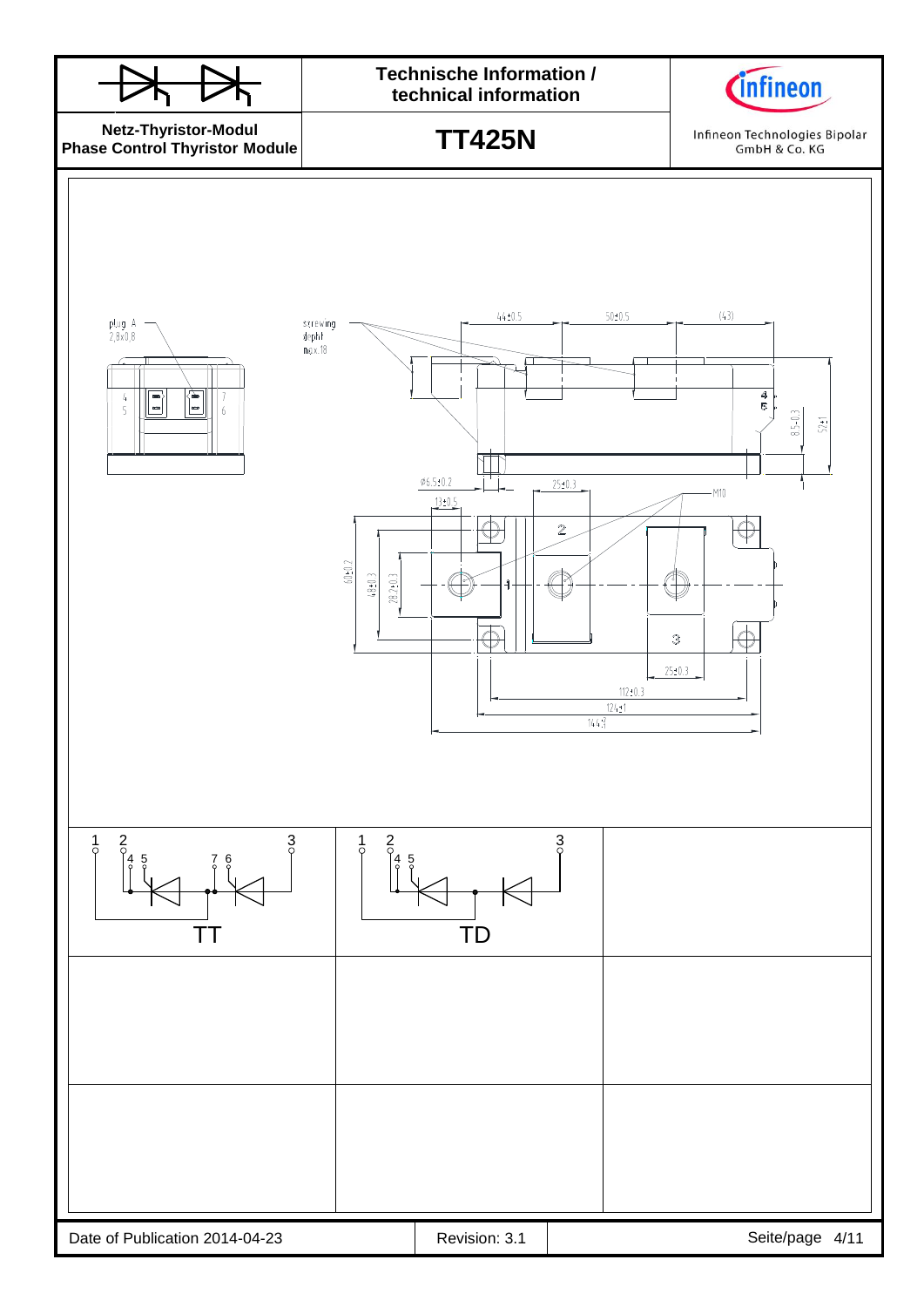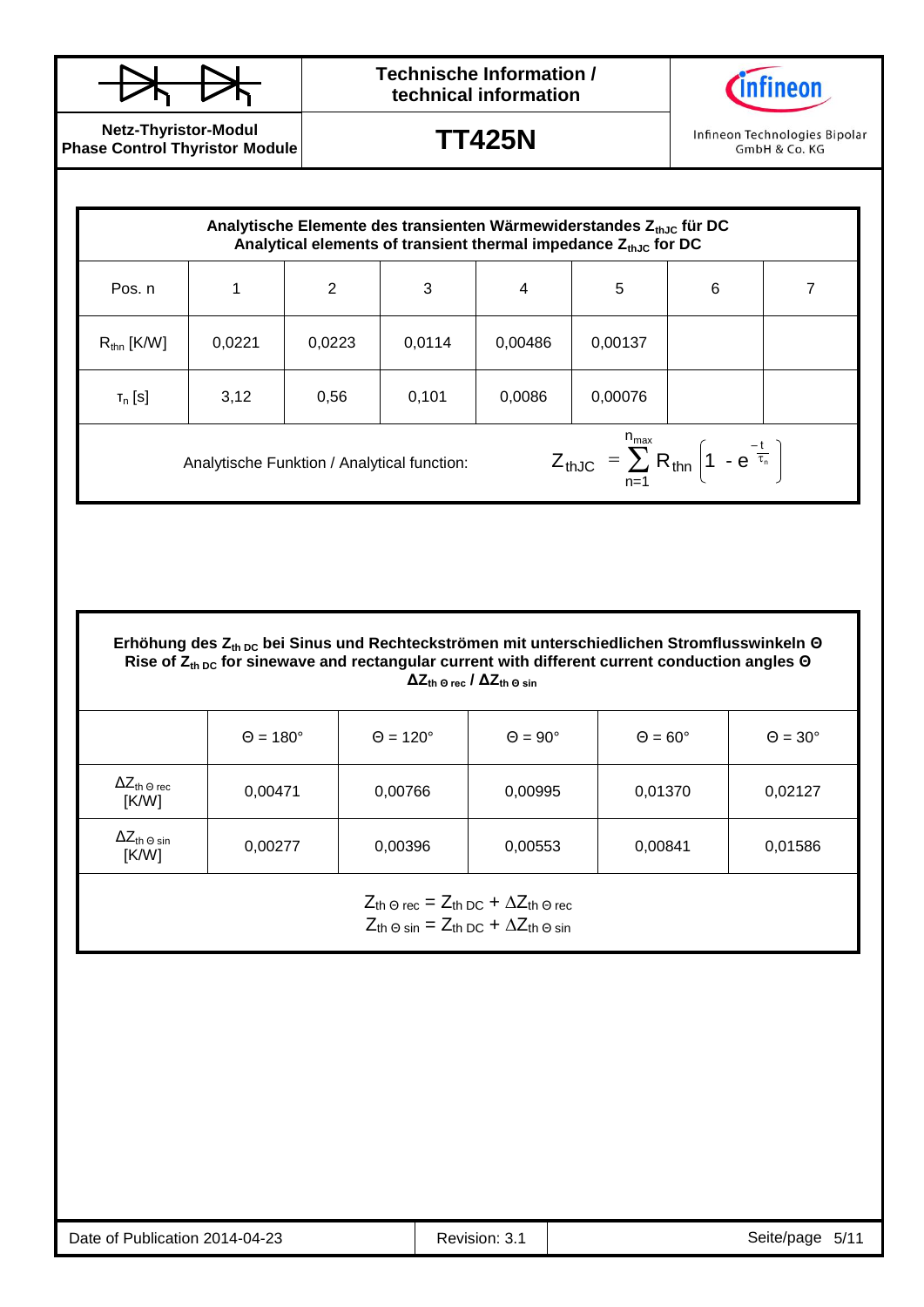

# **Technische Information / technical information**



**Netz-Thyristor-Modul Phase Control Thyristor Module**

**TT425N**

Infineon Technologies Bipolar GmbH & Co. KG

|                                                |                      |                |                      | Analytische Elemente des transienten Wärmewiderstandes $Z_{thJC}$ für DC<br>Analytical elements of transient thermal impedance $Z_{thJC}$ for DC                                             |                                                                                    |   |                     |
|------------------------------------------------|----------------------|----------------|----------------------|----------------------------------------------------------------------------------------------------------------------------------------------------------------------------------------------|------------------------------------------------------------------------------------|---|---------------------|
| Pos. n                                         | 1                    | $\overline{2}$ | 3                    | $\overline{4}$                                                                                                                                                                               | 5                                                                                  | 6 | $\overline{7}$      |
| $R_{\text{thn}}$ [K/W]                         | 0,0221               | 0,0223         | 0,0114               | 0,00486                                                                                                                                                                                      | 0,00137                                                                            |   |                     |
| $T_n$ [S]                                      | 3,12                 | 0,56           | 0,101                | 0,0086                                                                                                                                                                                       | 0,00076                                                                            |   |                     |
|                                                |                      |                |                      |                                                                                                                                                                                              | $Z_{thJC} = \sum_{n=1}^{n_{max}} R_{thn} \left( 1 - e^{-\frac{t}{\tau_n}} \right)$ |   |                     |
|                                                |                      |                |                      | Erhöhung des Z <sub>th DC</sub> bei Sinus und Rechteckströmen mit unterschiedlichen Stromflusswinkeln O                                                                                      |                                                                                    |   |                     |
|                                                |                      |                |                      | Rise of $Z_{th, DC}$ for sinewave and rectangular current with different current conduction angles $\Theta$<br>$\Delta Z_{\text{th}}$ $_{\odot}$ rec / $\Delta Z_{\text{th}}$ $_{\odot}$ sin |                                                                                    |   |                     |
|                                                | $\Theta = 180^\circ$ |                | $\Theta = 120^\circ$ | $\Theta = 90^\circ$                                                                                                                                                                          | $\Theta = 60^\circ$                                                                |   | $\Theta = 30^\circ$ |
| $\Delta Z_{\text{th}}$ $_{\odot}$ rec<br>[K/W] | 0,00471              |                | 0,00766              | 0,00995                                                                                                                                                                                      | 0,01370                                                                            |   | 0,02127             |

 $Z_{th\,\Theta\,rec} = Z_{th\,\text{DC}} + \Delta Z_{th\,\Theta\,rec}$  $Z_{\text{th}} \odot \sin = Z_{\text{th DC}} + \Delta Z_{\text{th}} \odot \sin$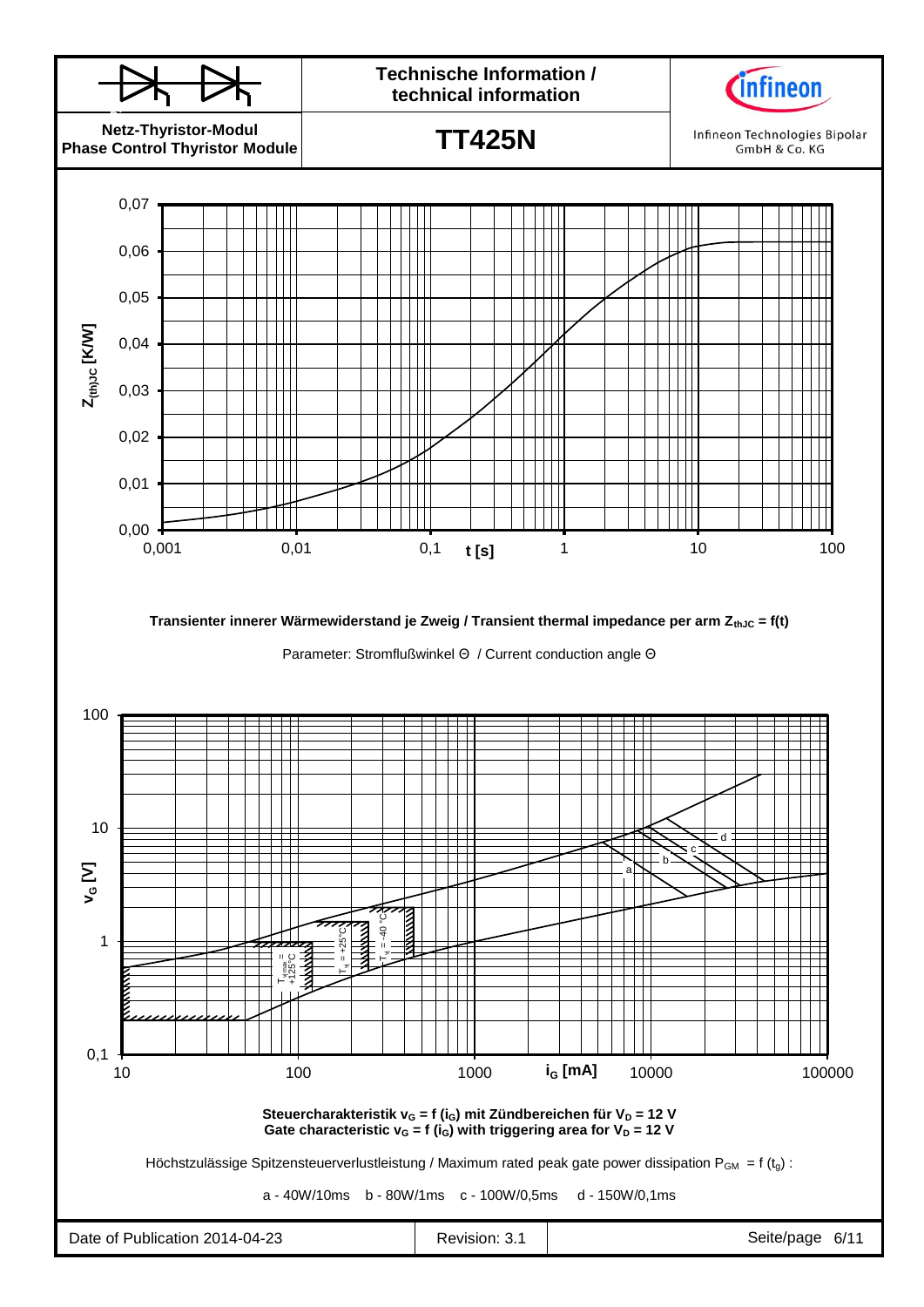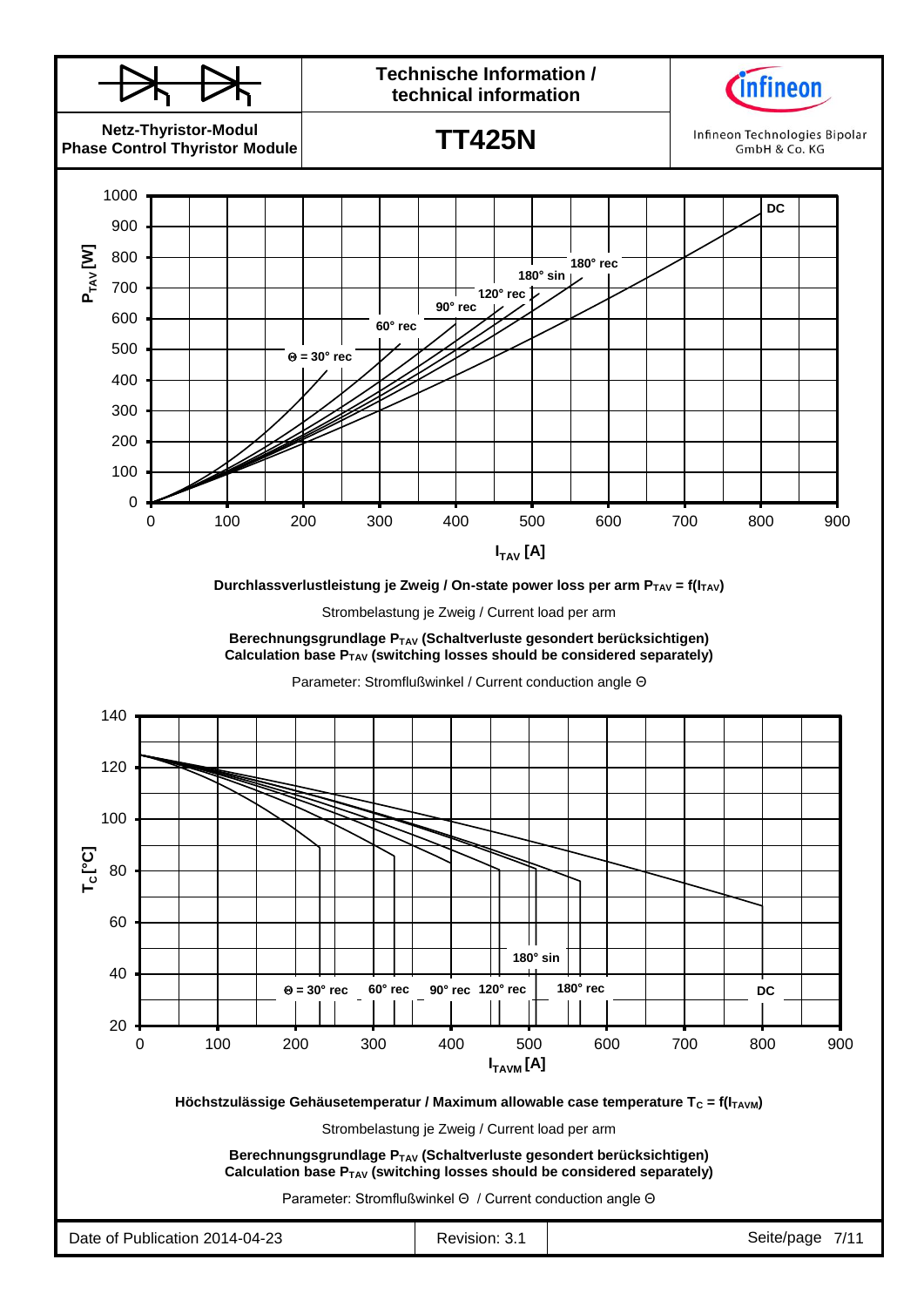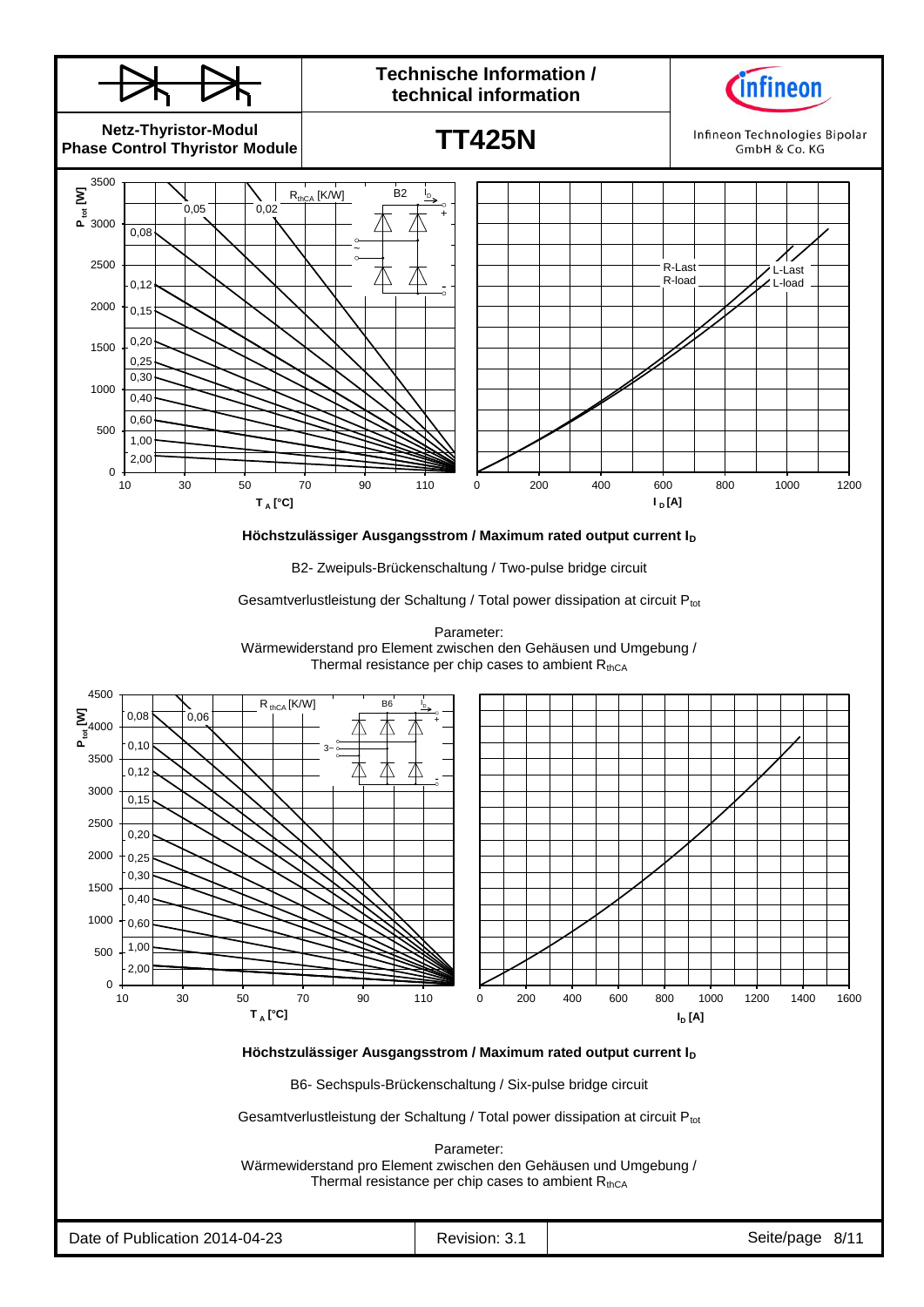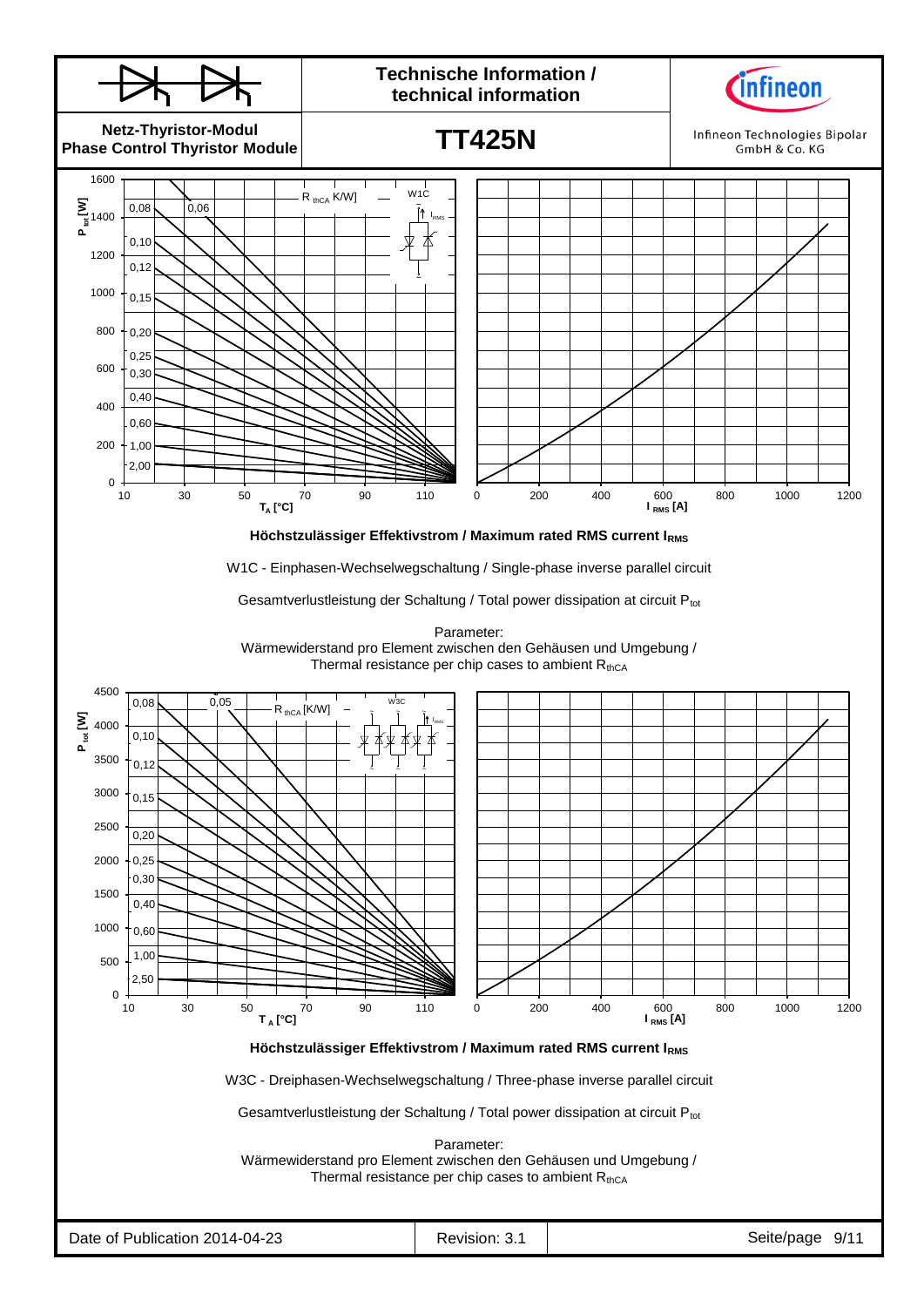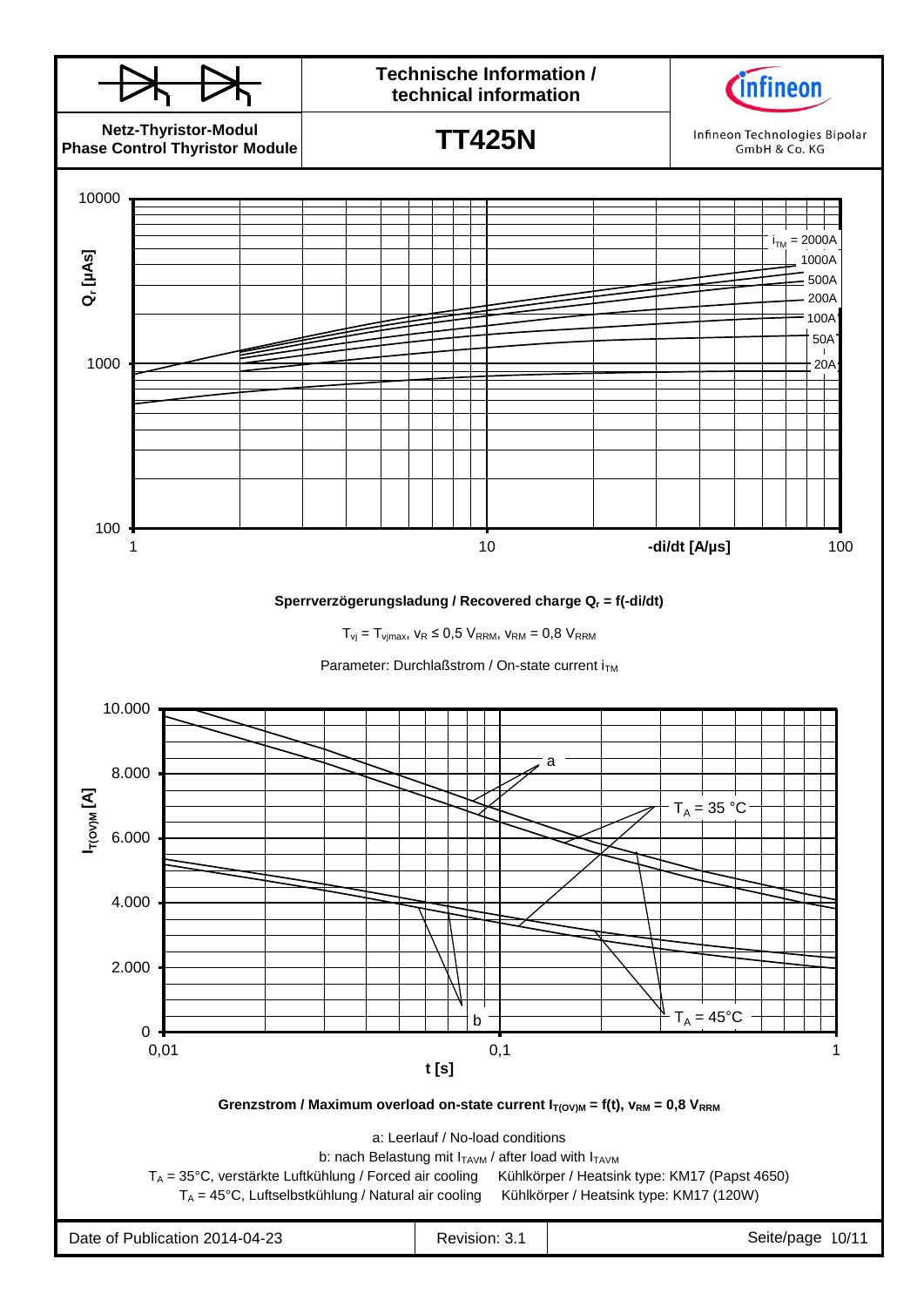